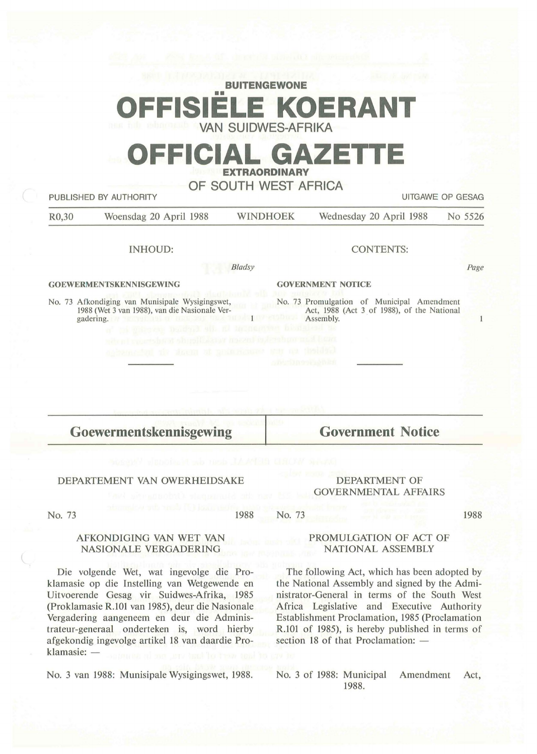| <b>BUITENGEWONE</b>       |  |  |  |  |  |
|---------------------------|--|--|--|--|--|
|                           |  |  |  |  |  |
| <b>OFFISIELE KOERANT</b>  |  |  |  |  |  |
| <b>VAN SUIDWES-AFRIKA</b> |  |  |  |  |  |

# **OFFICIAL GAZETTE EXTRAORDINARY**

### **OF SOUTH WEST AFRICA**

| <b>UITGAWE OP GESAG</b><br>PUBLISHED BY AUTHORITY |                                                                                                                                                                                                                                                  |          |                                                                                                                                              |         |
|---------------------------------------------------|--------------------------------------------------------------------------------------------------------------------------------------------------------------------------------------------------------------------------------------------------|----------|----------------------------------------------------------------------------------------------------------------------------------------------|---------|
| R <sub>0</sub> ,30                                | Woensdag 20 April 1988                                                                                                                                                                                                                           | WINDHOEK | Wednesday 20 April 1988                                                                                                                      | No 5526 |
|                                                   | <b>INHOUD:</b>                                                                                                                                                                                                                                   |          | <b>CONTENTS:</b>                                                                                                                             |         |
|                                                   | Bladsy                                                                                                                                                                                                                                           |          |                                                                                                                                              | Page    |
| <b>GOEWERMENTSKENNISGEWING</b>                    |                                                                                                                                                                                                                                                  |          | <b>GOVERNMENT NOTICE</b>                                                                                                                     |         |
|                                                   | No. 73 Afkondiging van Munisipale Wysigingswet,<br>1988 (Wet 3 van 1988), van die Nasionale Ver-<br>gadering.<br>of he gars on Doubled Mis. IC<br>te el concerto de la política de la confida<br>appeared all down of pain assume sur as theided |          | No. 73 Promulgation of Municipal Amendment<br>Act, 1988 (Act 3 of 1988), of the National<br>Assembly.<br>sehon nol han<br><b>APPLICATION</b> |         |
|                                                   | Goewermentskennisgewing                                                                                                                                                                                                                          |          | <b>Government Notice</b>                                                                                                                     |         |

#### DEPARTEMENT VAN OWERHEIDSAKE

#### DEPARTMENT OF GOVERNMENTAL AFFAIRS

No. 73

1988 No. 73 1988

#### AFKONDIGING VAN WET VAN NASIONALE VERGADERING

Die volgende Wet, wat ingevolge die Proklamasie op die Instelling van Wetgewende en Uitvoerende Gesag vir Suidwes-Afrika, 1985 (Proklamasie R.101 van 1985), deur die Nasionale Vergadering aangeneem en deur die Administrateur-generaal onderteken is, word hierby af gekondig ingevolge artikel 18 van daardie Proklamasie: -

No. 3 van 1988: Munisipale Wysigingswet, 1988.

#### PROMULGATION OF ACT OF NATIONAL ASSEMBLY

The following Act, which has been adopted by the National Assembly and signed by the Administrator-General in terms of the South West Africa Legislative and Executive Authority Establishment Proclamation, 1985 (Proclamation R.101 of 1985), is hereby published in terms of section 18 of that Proclamation: -

No. 3 of 1988: Municipal Amendment Act, 1988.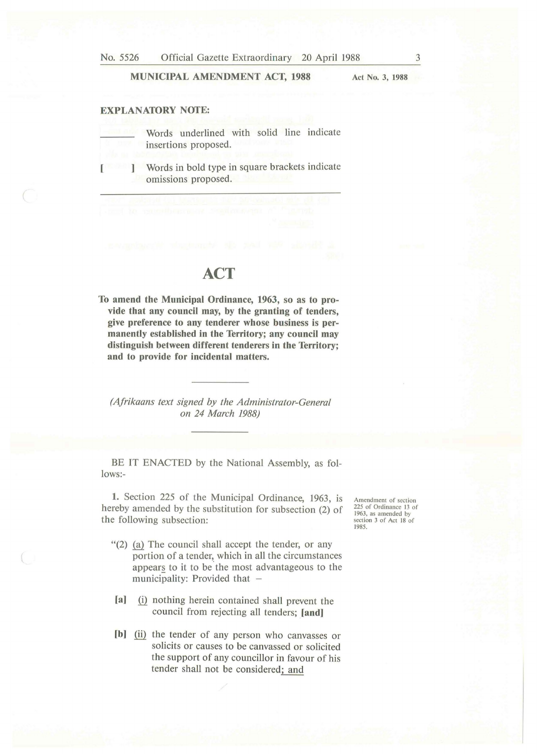#### **MUNICIPAL AMENDMENT ACT, 1988**

**Act No. 3, 1988** 

#### **EXPLANATORY NOfE:**

Words underlined with solid line indicate insertions proposed.

[ ) Words in bold type in square brackets indicate omissions proposed.

## **ACT**

**To amend the Municipal Ordinance, 1963, so as to provide that any council may, by the granting of tenders, give preference to any tenderer whose business is permanently established in the Territory; any council may distinguish between different tenderers in the Territory; and to provide for incidental matters.** 

*(Afrikaans text signed by the Administrator-General on 24 March 1988)* 

BE IT ENACTED by the National Assembly, as follows:-

**1.** Section 225 of the Municipal Ordinance, 1963, is hereby amended by the substitution for subsection (2) of the following subsection:

- $''(2)$  (a) The council shall accept the tender, or any portion of a tender, which in all the circumstances appears to it to be the most advantageous to the municipality: Provided that  $-$
- [a] (i) nothing herein contained shall prevent the council from rejecting all tenders; **[and]**
- [b] (ii) the tender of any person who canvasses or solicits or causes to be canvassed or solicited the support of any councillor in favour of his tender shall not be considered; and

Amendment of section 225 of Ordinance 13 of 1963, as amended by section 3 of Act 18 of 1985.